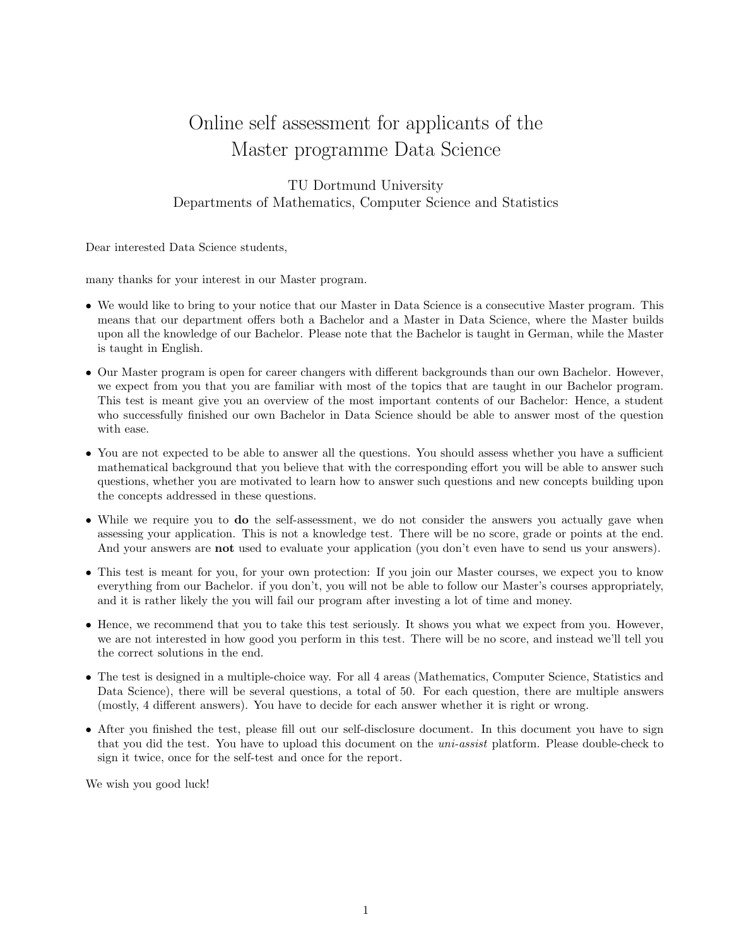# Online self assessment for applicants of the Master programme Data Science

# TU Dortmund University Departments of Mathematics, Computer Science and Statistics

Dear interested Data Science students,

many thanks for your interest in our Master program.

- We would like to bring to your notice that our Master in Data Science is a consecutive Master program. This means that our department offers both a Bachelor and a Master in Data Science, where the Master builds upon all the knowledge of our Bachelor. Please note that the Bachelor is taught in German, while the Master is taught in English.
- Our Master program is open for career changers with different backgrounds than our own Bachelor. However, we expect from you that you are familiar with most of the topics that are taught in our Bachelor program. This test is meant give you an overview of the most important contents of our Bachelor: Hence, a student who successfully finished our own Bachelor in Data Science should be able to answer most of the question with ease.
- You are not expected to be able to answer all the questions. You should assess whether you have a sufficient mathematical background that you believe that with the corresponding effort you will be able to answer such questions, whether you are motivated to learn how to answer such questions and new concepts building upon the concepts addressed in these questions.
- While we require you to **do** the self-assessment, we do not consider the answers you actually gave when assessing your application. This is not a knowledge test. There will be no score, grade or points at the end. And your answers are **not** used to evaluate your application (you don't even have to send us your answers).
- This test is meant for you, for your own protection: If you join our Master courses, we expect you to know everything from our Bachelor. if you don't, you will not be able to follow our Master's courses appropriately, and it is rather likely the you will fail our program after investing a lot of time and money.
- Hence, we recommend that you to take this test seriously. It shows you what we expect from you. However, we are not interested in how good you perform in this test. There will be no score, and instead we'll tell you the correct solutions in the end.
- The test is designed in a multiple-choice way. For all 4 areas (Mathematics, Computer Science, Statistics and Data Science), there will be several questions, a total of 50. For each question, there are multiple answers (mostly, 4 different answers). You have to decide for each answer whether it is right or wrong.
- After you finished the test, please fill out our self-disclosure document. In this document you have to sign that you did the test. You have to upload this document on the uni-assist platform. Please double-check to sign it twice, once for the self-test and once for the report.

We wish you good luck!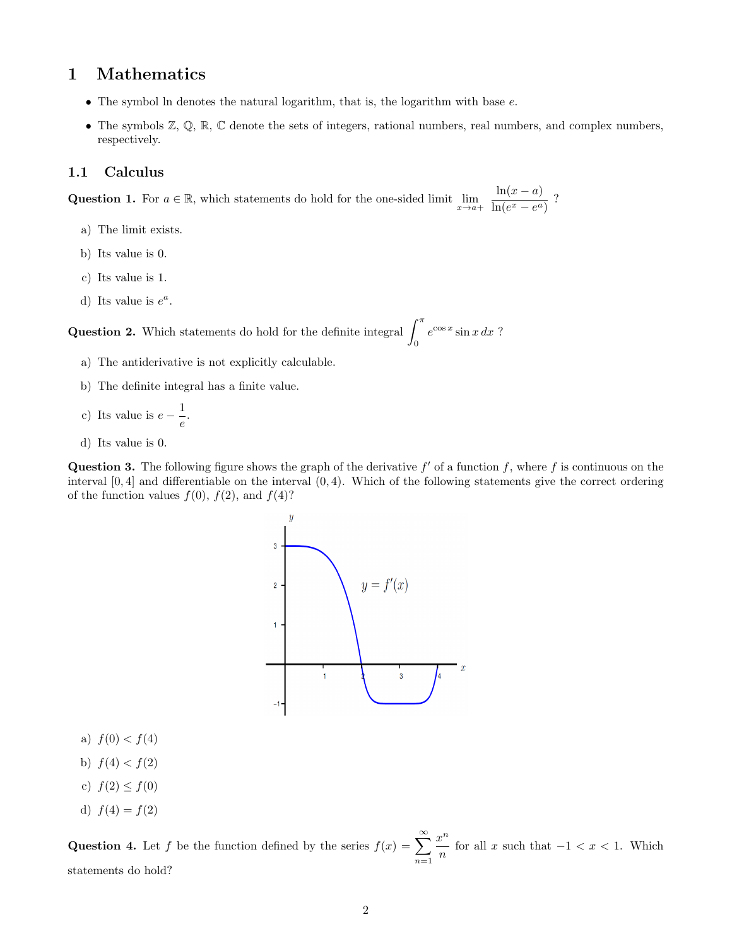# 1 Mathematics

- $\bullet$  The symbol ln denotes the natural logarithm, that is, the logarithm with base  $e$ .
- The symbols  $\mathbb{Z}, \mathbb{Q}, \mathbb{R}, \mathbb{C}$  denote the sets of integers, rational numbers, real numbers, and complex numbers, respectively.

#### 1.1 Calculus

Question 1. For  $a \in \mathbb{R}$ , which statements do hold for the one-sided limit  $\lim_{x \to a^+} \frac{\ln(x-a)}{\ln(e^x - e^a)}$  $\frac{\ln(w-a)}{\ln(e^x-e^a)}$ ?

- a) The limit exists.
- b) Its value is 0.
- c) Its value is 1.
- d) Its value is  $e^a$ .

**Question 2.** Which statements do hold for the definite integral  $\int_0^{\pi}$ 0  $e^{\cos x} \sin x \, dx$ ?

- a) The antiderivative is not explicitly calculable.
- b) The definite integral has a finite value.
- c) Its value is  $e \frac{1}{\cdot}$  $\frac{1}{e}$ .
- d) Its value is 0.

Question 3. The following figure shows the graph of the derivative  $f'$  of a function f, where f is continuous on the interval  $[0, 4]$  and differentiable on the interval  $(0, 4)$ . Which of the following statements give the correct ordering of the function values  $f(0)$ ,  $f(2)$ , and  $f(4)$ ?



- a)  $f(0) < f(4)$
- b)  $f(4) < f(2)$
- c)  $f(2) \le f(0)$
- d)  $f(4) = f(2)$

**Question 4.** Let f be the function defined by the series  $f(x) = \sum_{n=0}^{\infty}$  $n=1$  $x^n$  $\frac{b}{n}$  for all x such that  $-1 < x < 1$ . Which statements do hold?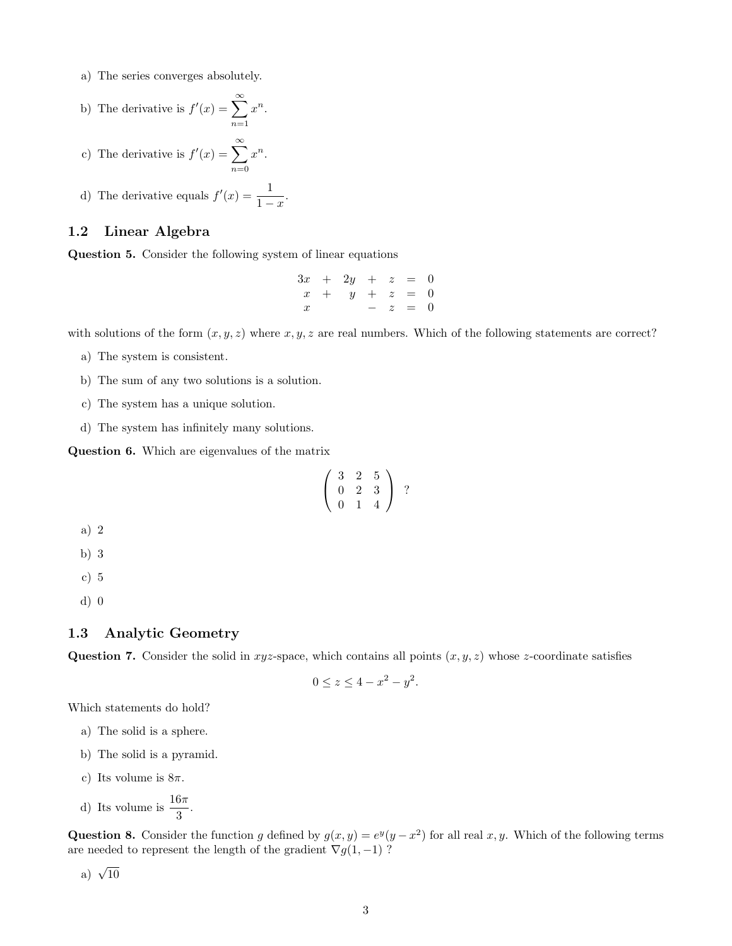- a) The series converges absolutely.
- b) The derivative is  $f'(x) = \sum_{n=0}^{\infty}$  $n=1$  $x^n$ .
- c) The derivative is  $f'(x) = \sum_{n=0}^{\infty}$  $n=0$  $x^n$ .
- d) The derivative equals  $f'(x) = \frac{1}{1-x}$ .

## 1.2 Linear Algebra

Question 5. Consider the following system of linear equations

 $3x + 2y + z = 0$  $x + y + z = 0$  $x$  −  $z$  = 0

with solutions of the form  $(x, y, z)$  where  $x, y, z$  are real numbers. Which of the following statements are correct?

- a) The system is consistent.
- b) The sum of any two solutions is a solution.
- c) The system has a unique solution.
- d) The system has infinitely many solutions.

Question 6. Which are eigenvalues of the matrix

$$
\left(\begin{array}{rrr}3 & 2 & 5 \\ 0 & 2 & 3 \\ 0 & 1 & 4 \end{array}\right) ?
$$

- a) 2
- b) 3
- c) 5
- d) 0

### 1.3 Analytic Geometry

Question 7. Consider the solid in xyz-space, which contains all points  $(x, y, z)$  whose z-coordinate satisfies

$$
0 \le z \le 4 - x^2 - y^2.
$$

Which statements do hold?

- a) The solid is a sphere.
- b) The solid is a pyramid.
- c) Its volume is  $8\pi$ .
- d) Its volume is  $\frac{16\pi}{3}$ .

Question 8. Consider the function g defined by  $g(x, y) = e^y(y - x^2)$  for all real x, y. Which of the following terms are needed to represent the length of the gradient  $\nabla g(1, -1)$ ?

a)  $\sqrt{10}$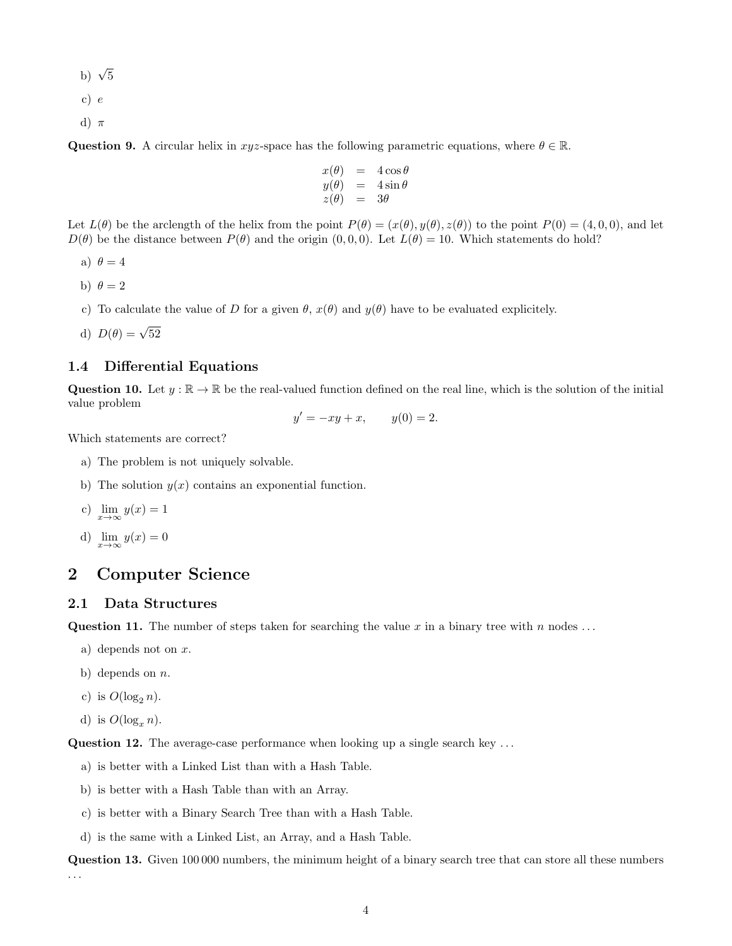- b)  $\sqrt{5}$
- c) e
- d)  $\pi$

**Question 9.** A circular helix in xyz-space has the following parametric equations, where  $\theta \in \mathbb{R}$ .

$$
\begin{array}{rcl}\nx(\theta) &=& 4 \cos \theta \\
y(\theta) &=& 4 \sin \theta \\
z(\theta) &=& 3\theta\n\end{array}
$$

Let  $L(\theta)$  be the arclength of the helix from the point  $P(\theta) = (x(\theta), y(\theta), z(\theta))$  to the point  $P(0) = (4, 0, 0)$ , and let  $D(\theta)$  be the distance between  $P(\theta)$  and the origin  $(0, 0, 0)$ . Let  $L(\theta) = 10$ . Which statements do hold?

- a)  $\theta = 4$
- b)  $\theta = 2$
- c) To calculate the value of D for a given  $\theta$ ,  $x(\theta)$  and  $y(\theta)$  have to be evaluated explicitely.
- d)  $D(\theta) = \sqrt{52}$

#### 1.4 Differential Equations

Question 10. Let  $y : \mathbb{R} \to \mathbb{R}$  be the real-valued function defined on the real line, which is the solution of the initial value problem

$$
y' = -xy + x, \qquad y(0) = 2.
$$

Which statements are correct?

- a) The problem is not uniquely solvable.
- b) The solution  $y(x)$  contains an exponential function.

c) 
$$
\lim_{x \to \infty} y(x) = 1
$$

d) 
$$
\lim_{x \to \infty} y(x) = 0
$$

# 2 Computer Science

## 2.1 Data Structures

Question 11. The number of steps taken for searching the value x in a binary tree with n nodes ...

- a) depends not on  $x$ .
- b) depends on  $n$ .
- c) is  $O(\log_2 n)$ .
- d) is  $O(\log_n n)$ .

Question 12. The average-case performance when looking up a single search key ...

- a) is better with a Linked List than with a Hash Table.
- b) is better with a Hash Table than with an Array.
- c) is better with a Binary Search Tree than with a Hash Table.
- d) is the same with a Linked List, an Array, and a Hash Table.

Question 13. Given 100 000 numbers, the minimum height of a binary search tree that can store all these numbers . . .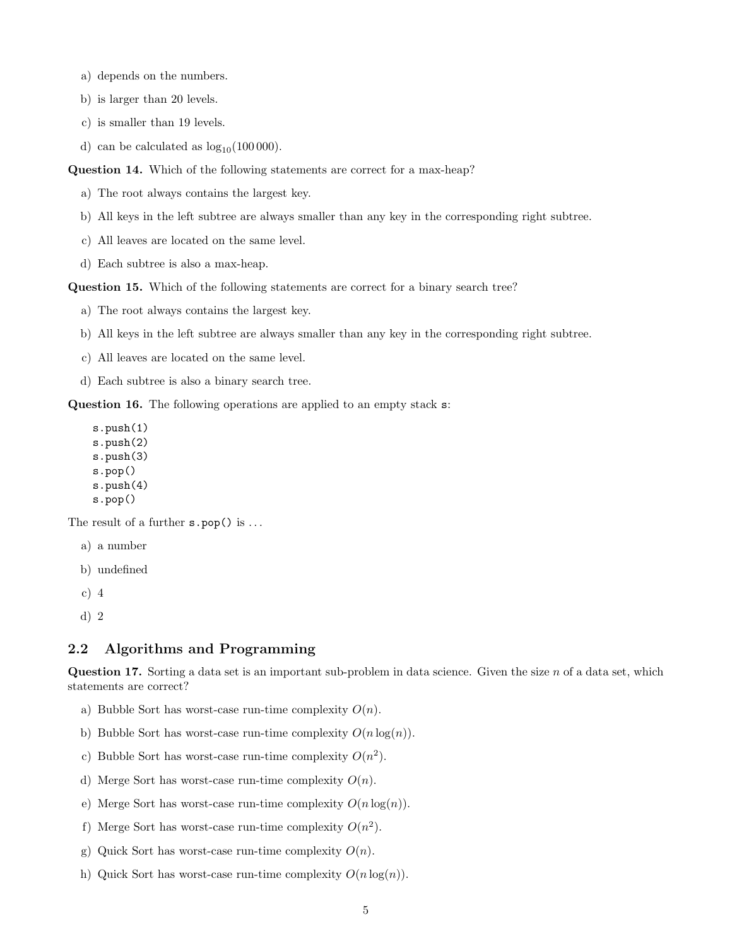- a) depends on the numbers.
- b) is larger than 20 levels.
- c) is smaller than 19 levels.
- d) can be calculated as  $log_{10}(100000)$ .

Question 14. Which of the following statements are correct for a max-heap?

- a) The root always contains the largest key.
- b) All keys in the left subtree are always smaller than any key in the corresponding right subtree.
- c) All leaves are located on the same level.
- d) Each subtree is also a max-heap.

Question 15. Which of the following statements are correct for a binary search tree?

- a) The root always contains the largest key.
- b) All keys in the left subtree are always smaller than any key in the corresponding right subtree.
- c) All leaves are located on the same level.
- d) Each subtree is also a binary search tree.

Question 16. The following operations are applied to an empty stack s:

s.push(1) s.push(2) s.push(3) s.pop() s.push(4) s.pop()

The result of a further  $s.pop()$  is ...

- a) a number
- b) undefined
- c) 4
- d) 2

#### 2.2 Algorithms and Programming

**Question 17.** Sorting a data set is an important sub-problem in data science. Given the size  $n$  of a data set, which statements are correct?

- a) Bubble Sort has worst-case run-time complexity  $O(n)$ .
- b) Bubble Sort has worst-case run-time complexity  $O(n \log(n))$ .
- c) Bubble Sort has worst-case run-time complexity  $O(n^2)$ .
- d) Merge Sort has worst-case run-time complexity  $O(n)$ .
- e) Merge Sort has worst-case run-time complexity  $O(n \log(n))$ .
- f) Merge Sort has worst-case run-time complexity  $O(n^2)$ .
- g) Quick Sort has worst-case run-time complexity  $O(n)$ .
- h) Quick Sort has worst-case run-time complexity  $O(n \log(n))$ .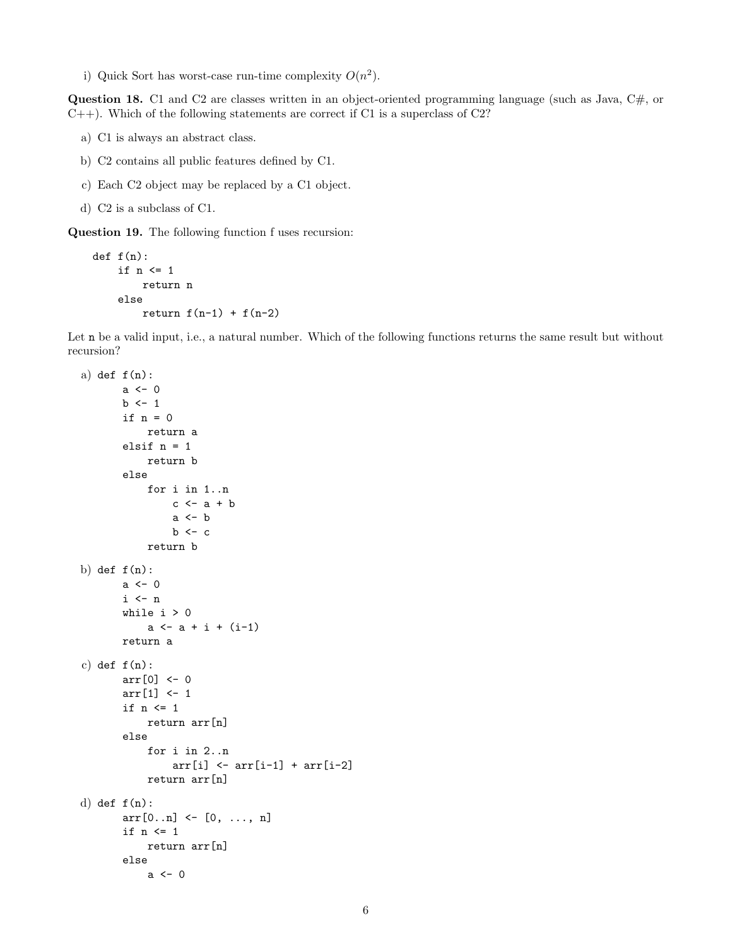i) Quick Sort has worst-case run-time complexity  $O(n^2)$ .

**Question 18.** C1 and C2 are classes written in an object-oriented programming language (such as Java,  $C#$ , or  $C_{++}$ ). Which of the following statements are correct if C1 is a superclass of C2?

- a) C1 is always an abstract class.
- b) C2 contains all public features defined by C1.
- c) Each C2 object may be replaced by a C1 object.
- d) C2 is a subclass of C1.

Question 19. The following function f uses recursion:

```
def f(n):if n <= 1
        return n
   else
        return f(n-1) + f(n-2)
```
Let **n** be a valid input, i.e., a natural number. Which of the following functions returns the same result but without recursion?

```
a) def f(n):
       a \leftarrow 0b \leq -1if n = 0return a
        elsif n = 1
            return b
        else
            for i in 1..n
                 c \leftarrow a + ba \leftarrow bb \leftarrow creturn b
b) def f(n):
       a < - 0i \leq nwhile i > 0a \leftarrow a + i + (i-1)return a
c) def f(n):
       arr[0] <- 0
        arr[1] <- 1
        if n <= 1
            return arr[n]
        else
            for i in 2..n
                 arr[i] <- arr[i-1] + arr[i-2]return arr[n]
d) def f(n):
       arr[0..n] \leftarrow [0, ..., n]if n <= 1
            return arr[n]
        else
            a < - 0
```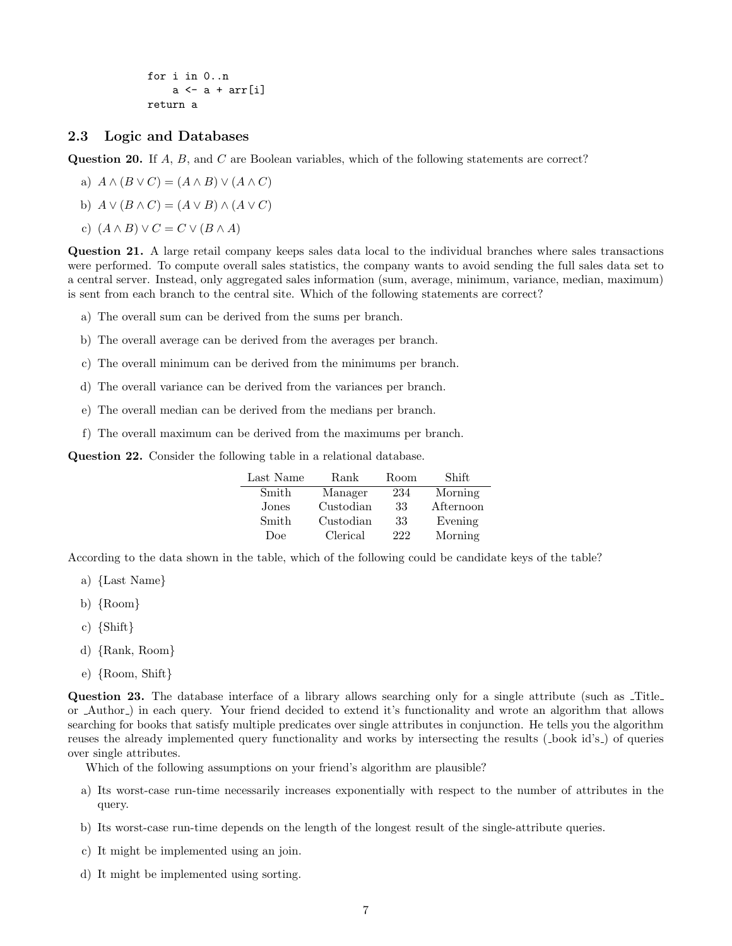for i in 0..n  $a \leftarrow a + arr[i]$ return a

# 2.3 Logic and Databases

Question 20. If A, B, and C are Boolean variables, which of the following statements are correct?

a) 
$$
A \wedge (B \vee C) = (A \wedge B) \vee (A \wedge C)
$$

b)  $A \vee (B \wedge C) = (A \vee B) \wedge (A \vee C)$ 

c)  $(A \wedge B) \vee C = C \vee (B \wedge A)$ 

Question 21. A large retail company keeps sales data local to the individual branches where sales transactions were performed. To compute overall sales statistics, the company wants to avoid sending the full sales data set to a central server. Instead, only aggregated sales information (sum, average, minimum, variance, median, maximum) is sent from each branch to the central site. Which of the following statements are correct?

- a) The overall sum can be derived from the sums per branch.
- b) The overall average can be derived from the averages per branch.
- c) The overall minimum can be derived from the minimums per branch.
- d) The overall variance can be derived from the variances per branch.
- e) The overall median can be derived from the medians per branch.
- f) The overall maximum can be derived from the maximums per branch.

Question 22. Consider the following table in a relational database.

| Last Name | Rank      | Room | Shift     |
|-----------|-----------|------|-----------|
| Smith     | Manager   | 234  | Morning   |
| Jones     | Custodian | 33   | Afternoon |
| Smith     | Custodian | 33   | Evening   |
| Doe       | Clerical  | 222  | Morning   |

According to the data shown in the table, which of the following could be candidate keys of the table?

- a) {Last Name}
- b) {Room}
- c) {Shift}
- d) {Rank, Room}
- e) {Room, Shift}

Question 23. The database interface of a library allows searching only for a single attribute (such as Title or Author ) in each query. Your friend decided to extend it's functionality and wrote an algorithm that allows searching for books that satisfy multiple predicates over single attributes in conjunction. He tells you the algorithm reuses the already implemented query functionality and works by intersecting the results ( book id's ) of queries over single attributes.

Which of the following assumptions on your friend's algorithm are plausible?

- a) Its worst-case run-time necessarily increases exponentially with respect to the number of attributes in the query.
- b) Its worst-case run-time depends on the length of the longest result of the single-attribute queries.
- c) It might be implemented using an join.
- d) It might be implemented using sorting.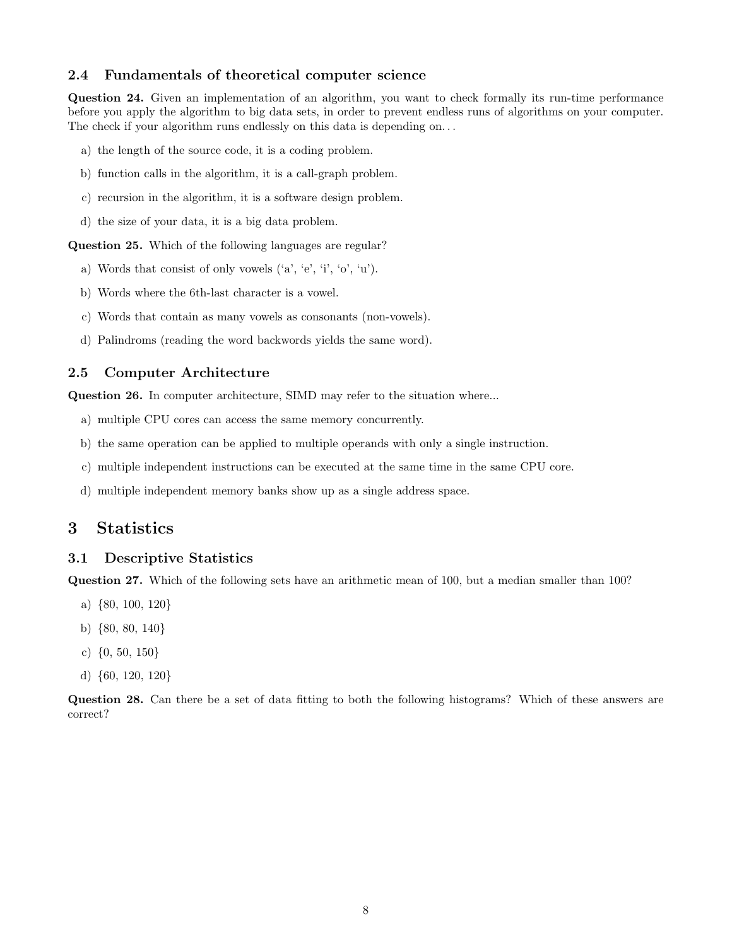## 2.4 Fundamentals of theoretical computer science

Question 24. Given an implementation of an algorithm, you want to check formally its run-time performance before you apply the algorithm to big data sets, in order to prevent endless runs of algorithms on your computer. The check if your algorithm runs endlessly on this data is depending on...

- a) the length of the source code, it is a coding problem.
- b) function calls in the algorithm, it is a call-graph problem.
- c) recursion in the algorithm, it is a software design problem.
- d) the size of your data, it is a big data problem.

Question 25. Which of the following languages are regular?

- a) Words that consist of only vowels ('a', 'e', 'i', 'o', 'u').
- b) Words where the 6th-last character is a vowel.
- c) Words that contain as many vowels as consonants (non-vowels).
- d) Palindroms (reading the word backwords yields the same word).

# 2.5 Computer Architecture

Question 26. In computer architecture, SIMD may refer to the situation where...

- a) multiple CPU cores can access the same memory concurrently.
- b) the same operation can be applied to multiple operands with only a single instruction.
- c) multiple independent instructions can be executed at the same time in the same CPU core.
- d) multiple independent memory banks show up as a single address space.

# 3 Statistics

### 3.1 Descriptive Statistics

Question 27. Which of the following sets have an arithmetic mean of 100, but a median smaller than 100?

- a) {80, 100, 120}
- b) {80, 80, 140}
- c) {0, 50, 150}
- d) {60, 120, 120}

Question 28. Can there be a set of data fitting to both the following histograms? Which of these answers are correct?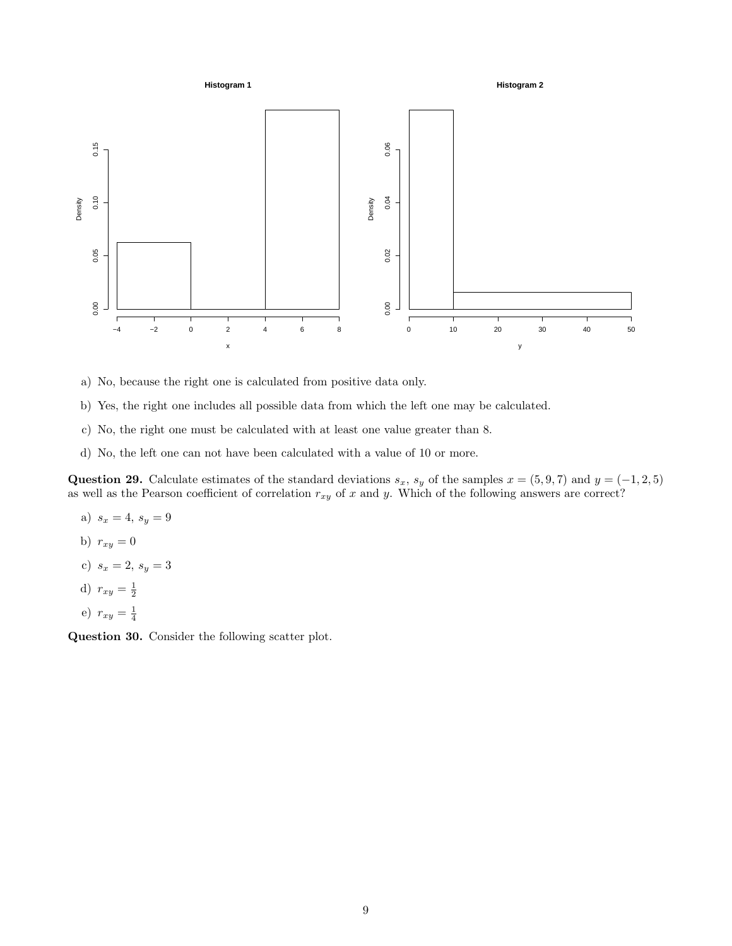

**Histogram 2**



- a) No, because the right one is calculated from positive data only.
- b) Yes, the right one includes all possible data from which the left one may be calculated.
- c) No, the right one must be calculated with at least one value greater than 8.
- d) No, the left one can not have been calculated with a value of 10 or more.

Question 29. Calculate estimates of the standard deviations  $s_x$ ,  $s_y$  of the samples  $x = (5, 9, 7)$  and  $y = (-1, 2, 5)$ as well as the Pearson coefficient of correlation  $r_{xy}$  of x and y. Which of the following answers are correct?

- a)  $s_x = 4, s_y = 9$
- b)  $r_{xy} = 0$
- c)  $s_x = 2, s_y = 3$
- d)  $r_{xy} = \frac{1}{2}$
- e)  $r_{xy} = \frac{1}{4}$

Question 30. Consider the following scatter plot.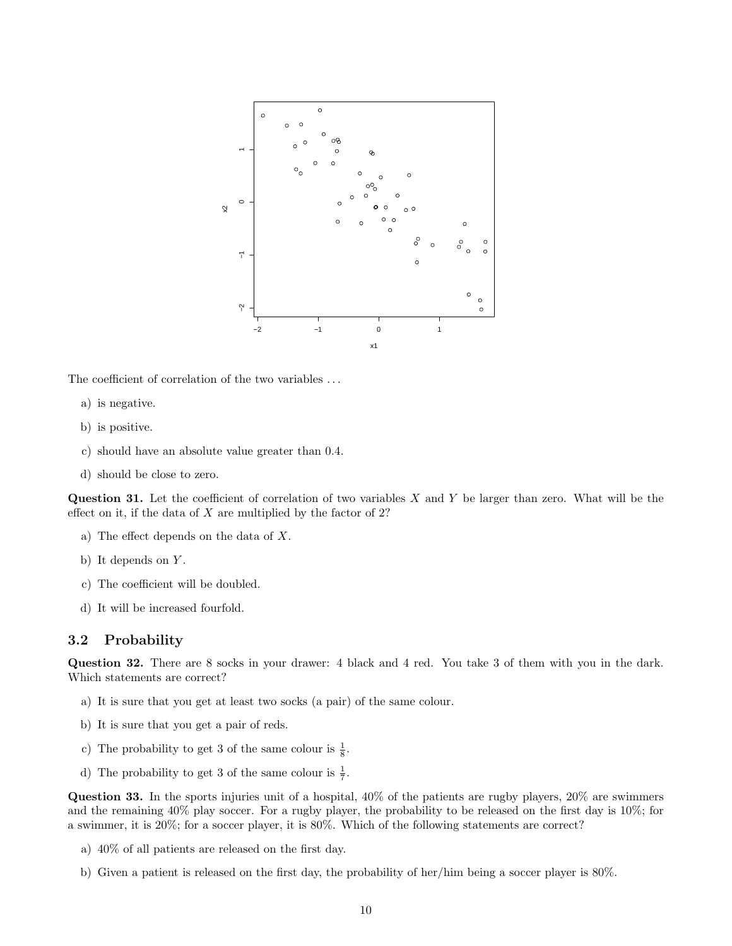

The coefficient of correlation of the two variables . . .

- a) is negative.
- b) is positive.
- c) should have an absolute value greater than 0.4.
- d) should be close to zero.

**Question 31.** Let the coefficient of correlation of two variables  $X$  and  $Y$  be larger than zero. What will be the effect on it, if the data of  $X$  are multiplied by the factor of 2?

- a) The effect depends on the data of X.
- b) It depends on  $Y$ .
- c) The coefficient will be doubled.
- d) It will be increased fourfold.

#### 3.2 Probability

Question 32. There are 8 socks in your drawer: 4 black and 4 red. You take 3 of them with you in the dark. Which statements are correct?

- a) It is sure that you get at least two socks (a pair) of the same colour.
- b) It is sure that you get a pair of reds.
- c) The probability to get 3 of the same colour is  $\frac{1}{8}$ .
- d) The probability to get 3 of the same colour is  $\frac{1}{7}$ .

Question 33. In the sports injuries unit of a hospital, 40% of the patients are rugby players, 20% are swimmers and the remaining 40% play soccer. For a rugby player, the probability to be released on the first day is 10%; for a swimmer, it is 20%; for a soccer player, it is 80%. Which of the following statements are correct?

- a) 40% of all patients are released on the first day.
- b) Given a patient is released on the first day, the probability of her/him being a soccer player is 80%.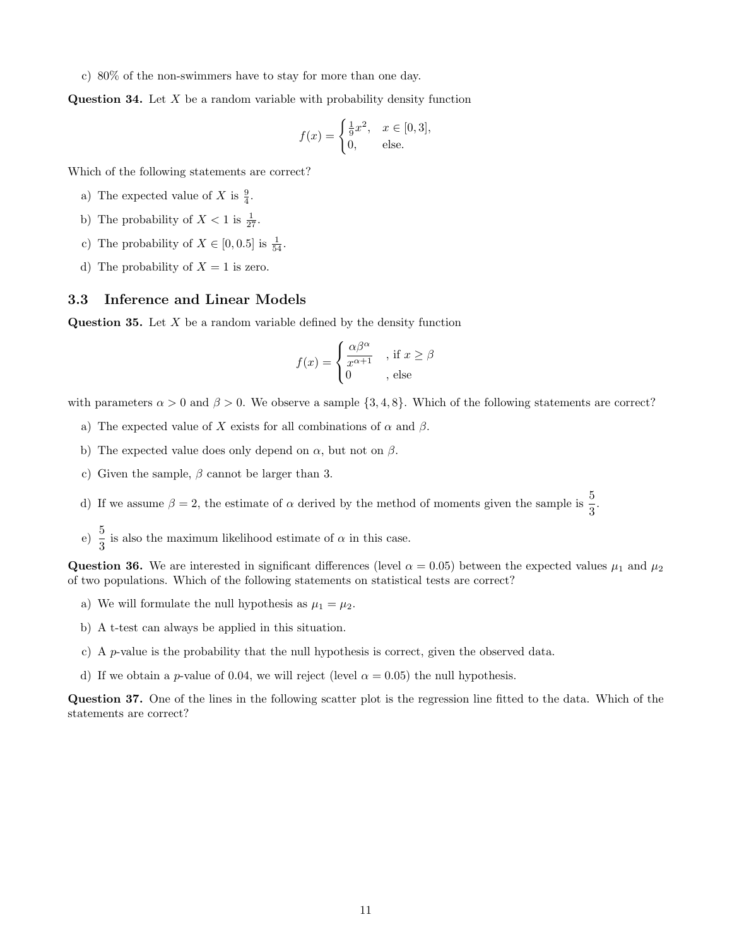c) 80% of the non-swimmers have to stay for more than one day.

**Question 34.** Let  $X$  be a random variable with probability density function

$$
f(x) = \begin{cases} \frac{1}{9}x^2, & x \in [0,3], \\ 0, & \text{else.} \end{cases}
$$

Which of the following statements are correct?

- a) The expected value of X is  $\frac{9}{4}$ .
- b) The probability of  $X < 1$  is  $\frac{1}{27}$ .
- c) The probability of  $X \in [0, 0.5]$  is  $\frac{1}{54}$ .
- d) The probability of  $X = 1$  is zero.

#### 3.3 Inference and Linear Models

**Question 35.** Let  $X$  be a random variable defined by the density function

$$
f(x) = \begin{cases} \frac{\alpha \beta^{\alpha}}{x^{\alpha+1}} & , \text{if } x \ge \beta \\ 0 & , \text{ else} \end{cases}
$$

with parameters  $\alpha > 0$  and  $\beta > 0$ . We observe a sample  $\{3, 4, 8\}$ . Which of the following statements are correct?

- a) The expected value of X exists for all combinations of  $\alpha$  and  $\beta$ .
- b) The expected value does only depend on  $\alpha$ , but not on  $\beta$ .
- c) Given the sample,  $\beta$  cannot be larger than 3.
- d) If we assume  $\beta = 2$ , the estimate of  $\alpha$  derived by the method of moments given the sample is  $\frac{5}{3}$ .
- e)  $\frac{5}{3}$  is also the maximum likelihood estimate of  $\alpha$  in this case.

Question 36. We are interested in significant differences (level  $\alpha = 0.05$ ) between the expected values  $\mu_1$  and  $\mu_2$ of two populations. Which of the following statements on statistical tests are correct?

- a) We will formulate the null hypothesis as  $\mu_1 = \mu_2$ .
- b) A t-test can always be applied in this situation.
- c) A p-value is the probability that the null hypothesis is correct, given the observed data.
- d) If we obtain a p-value of 0.04, we will reject (level  $\alpha = 0.05$ ) the null hypothesis.

Question 37. One of the lines in the following scatter plot is the regression line fitted to the data. Which of the statements are correct?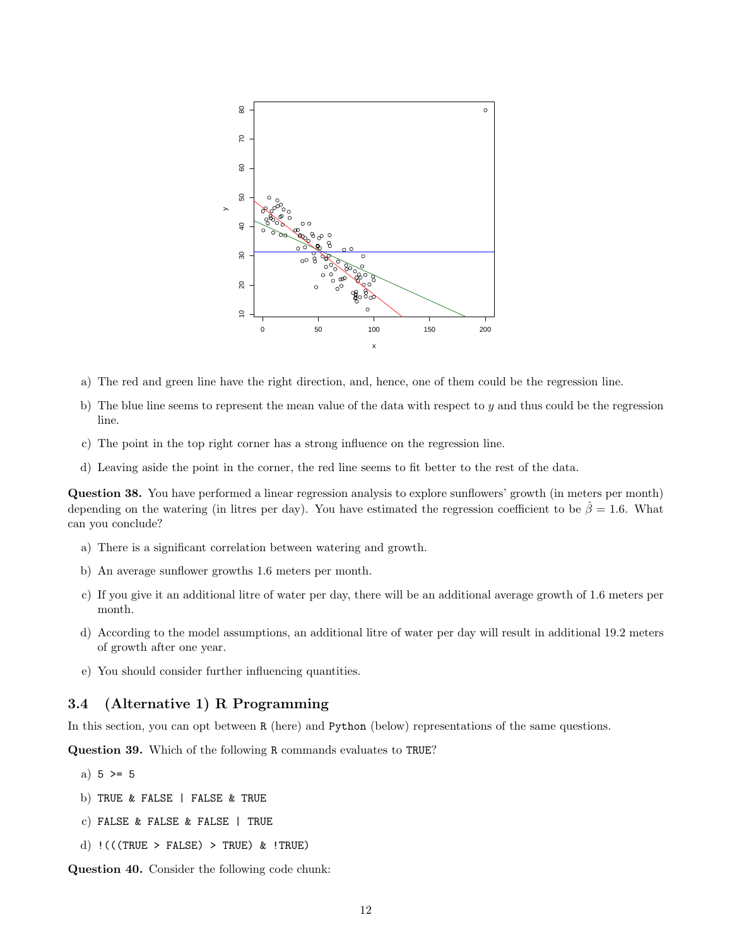

- a) The red and green line have the right direction, and, hence, one of them could be the regression line.
- b) The blue line seems to represent the mean value of the data with respect to  $y$  and thus could be the regression line.
- c) The point in the top right corner has a strong influence on the regression line.
- d) Leaving aside the point in the corner, the red line seems to fit better to the rest of the data.

Question 38. You have performed a linear regression analysis to explore sunflowers' growth (in meters per month) depending on the watering (in litres per day). You have estimated the regression coefficient to be  $\hat{\beta} = 1.6$ . What can you conclude?

- a) There is a significant correlation between watering and growth.
- b) An average sunflower growths 1.6 meters per month.
- c) If you give it an additional litre of water per day, there will be an additional average growth of 1.6 meters per month.
- d) According to the model assumptions, an additional litre of water per day will result in additional 19.2 meters of growth after one year.
- e) You should consider further influencing quantities.

## 3.4 (Alternative 1) R Programming

In this section, you can opt between R (here) and Python (below) representations of the same questions.

Question 39. Which of the following R commands evaluates to TRUE?

- a)  $5 > = 5$
- b) TRUE & FALSE | FALSE & TRUE
- c) FALSE & FALSE & FALSE | TRUE
- d)  $!$  (((TRUE > FALSE) > TRUE) &  $!$  TRUE)

Question 40. Consider the following code chunk: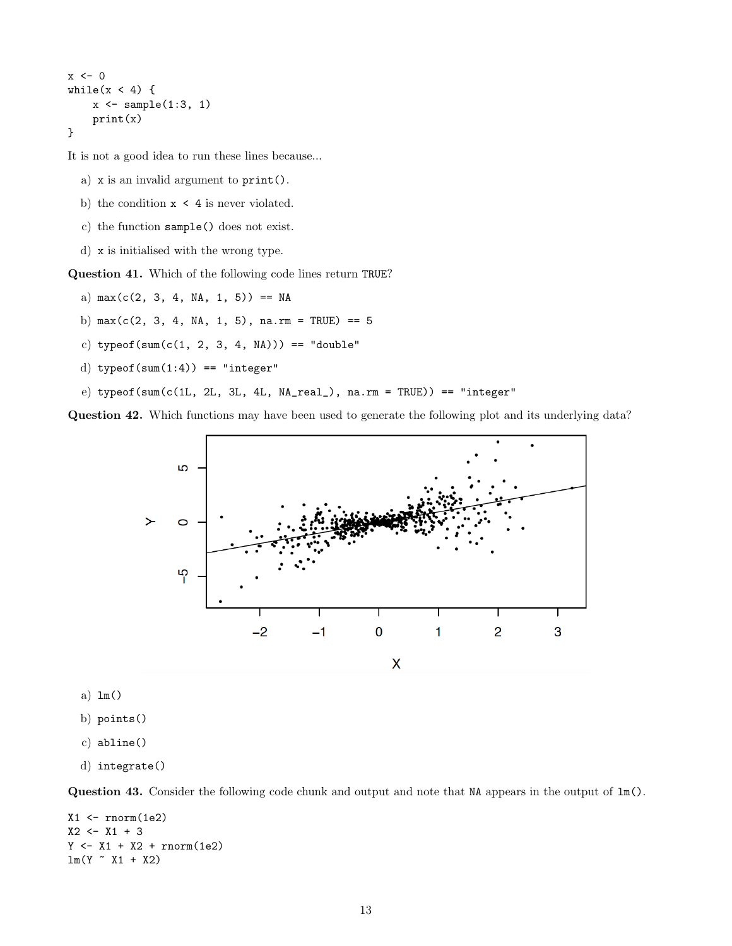```
x \leftarrow 0while(x < 4) {
     x \leftarrow sample(1:3, 1)print(x)
}
```
It is not a good idea to run these lines because...

- a) x is an invalid argument to print().
- b) the condition  $x < 4$  is never violated.
- c) the function sample() does not exist.
- d) x is initialised with the wrong type.

Question 41. Which of the following code lines return TRUE?

- a)  $max(c(2, 3, 4, NA, 1, 5)) == NA$
- b)  $max(c(2, 3, 4, NA, 1, 5), na.rm = TRUE) == 5$
- c) typeof(sum(c(1, 2, 3, 4, NA))) == "double"
- d) typeof(sum $(1:4)$ ) == "integer"
- e) typeof(sum(c(1L, 2L, 3L, 4L, NA\_real\_), na.rm = TRUE)) == "integer"

Question 42. Which functions may have been used to generate the following plot and its underlying data?



- a) lm()
- b) points()
- c) abline()
- d) integrate()

Question 43. Consider the following code chunk and output and note that NA appears in the output of lm().

```
X1 \leftarrow \text{norm}(1e2)X2 <- X1 + 3Y \leftarrow X1 + X2 + \text{norm}(1e2)lm(Y - X1 + X2)
```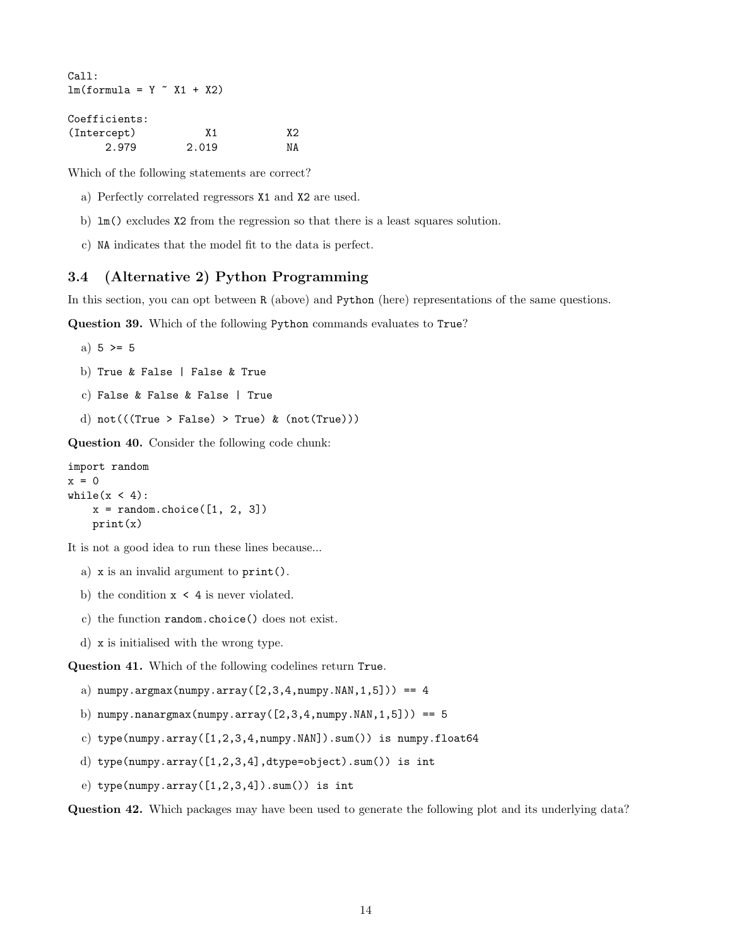```
Call:
lm(formula = Y \sim X1 + X2)Coefficients:
```

| (Intercept) | Χ1    | X2 |
|-------------|-------|----|
| 2.979       | 2.019 | ΝA |

Which of the following statements are correct?

- a) Perfectly correlated regressors X1 and X2 are used.
- b) lm() excludes X2 from the regression so that there is a least squares solution.
- c) NA indicates that the model fit to the data is perfect.

### 3.4 (Alternative 2) Python Programming

In this section, you can opt between R (above) and Python (here) representations of the same questions.

Question 39. Which of the following Python commands evaluates to True?

```
a) 5 > = 5
```
- b) True & False | False & True
- c) False & False & False | True
- d)  $not((True > False) > True)$  &  $(not(True)))$

Question 40. Consider the following code chunk:

```
import random
x = 0while(x < 4):x = random.\text{choice}([1, 2, 3])print(x)
```
It is not a good idea to run these lines because...

- a) x is an invalid argument to print().
- b) the condition  $x \leq 4$  is never violated.
- c) the function random.choice() does not exist.
- d) x is initialised with the wrong type.

Question 41. Which of the following codelines return True.

- a)  $numpy.argv(numpy.array([2,3,4,numpy.NAN,1,5])) == 4$
- b) numpy.nanargmax(numpy.array( $[2,3,4,n$ umpy.NAN,1,5])) == 5
- c) type(numpy.array( $[1,2,3,4$ ,numpy.NAN]).sum()) is numpy.float64
- d) type(numpy.array([1,2,3,4],dtype=object).sum()) is int
- e) type(numpy.array( $[1,2,3,4]$ ).sum()) is int

Question 42. Which packages may have been used to generate the following plot and its underlying data?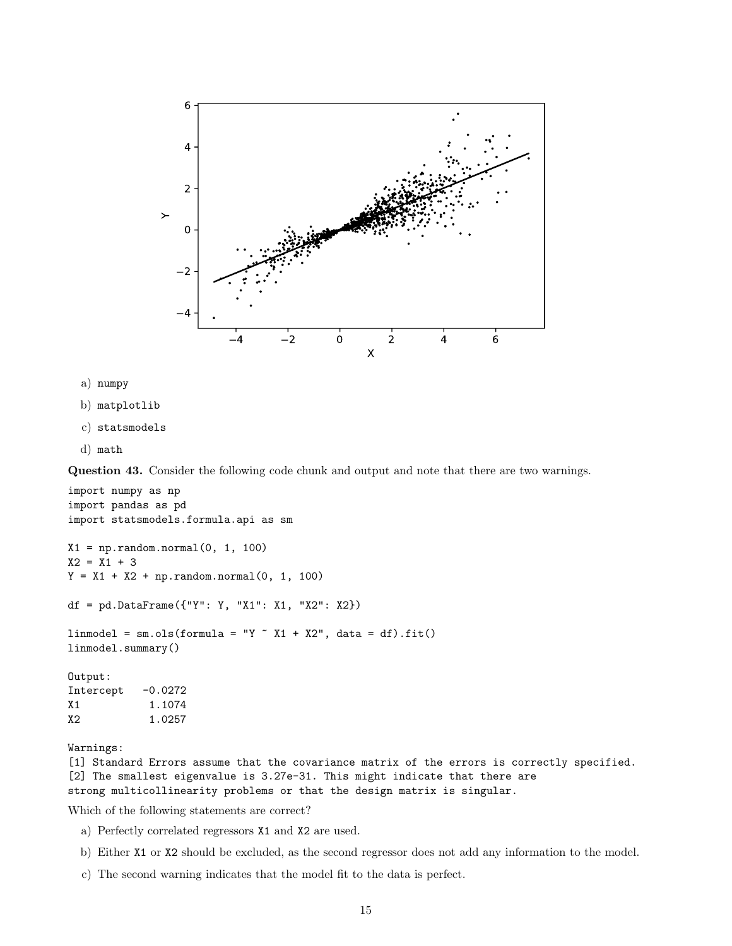

- a) numpy
- b) matplotlib
- c) statsmodels
- d) math

Question 43. Consider the following code chunk and output and note that there are two warnings.

```
import numpy as np
import pandas as pd
import statsmodels.formula.api as sm
X1 = np.random.normal(0, 1, 100)X2 = X1 + 3Y = X1 + X2 + np.random.normal(0, 1, 100)df = pd.DataFrame({'Y'': Y, "X1": X1, "X2": X2})linmodel = sm.ols(formula = "Y "X1 + X2", data = df).fit()linmodel.summary()
Output:
Intercept -0.0272
X1 1.1074
X2 1.0257
```
Warnings:

[1] Standard Errors assume that the covariance matrix of the errors is correctly specified. [2] The smallest eigenvalue is 3.27e-31. This might indicate that there are strong multicollinearity problems or that the design matrix is singular.

Which of the following statements are correct?

- a) Perfectly correlated regressors X1 and X2 are used.
- b) Either X1 or X2 should be excluded, as the second regressor does not add any information to the model.
- c) The second warning indicates that the model fit to the data is perfect.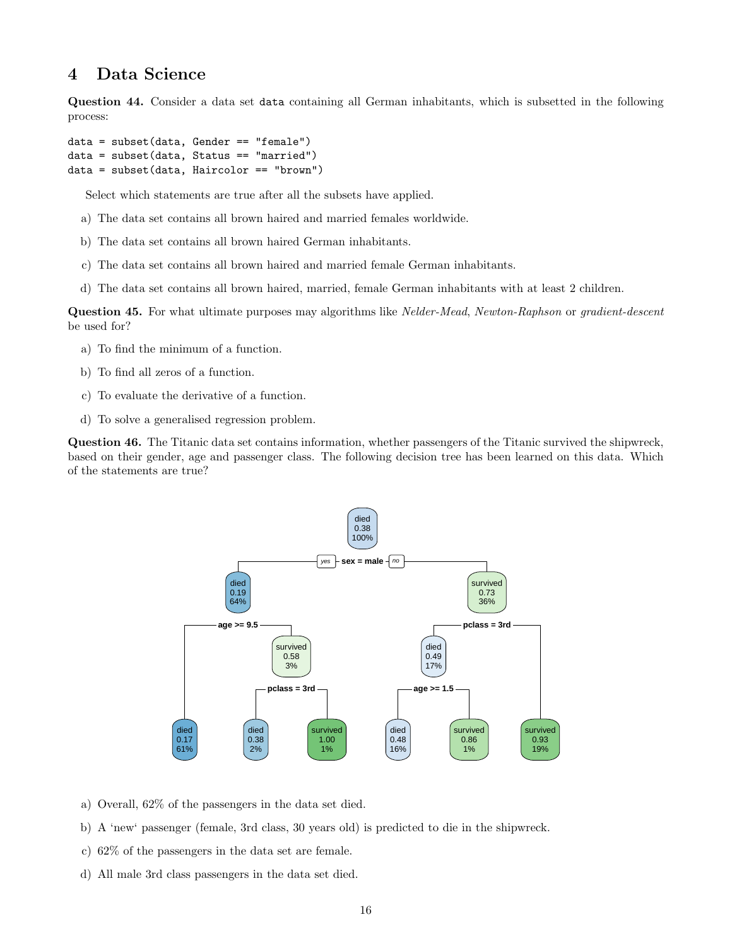# 4 Data Science

Question 44. Consider a data set data containing all German inhabitants, which is subsetted in the following process:

```
data = subset(data, Gender == "female")
data = subset(data, Status == "married")
data = subset(data, Haircolor == "brown")
```
Select which statements are true after all the subsets have applied.

- a) The data set contains all brown haired and married females worldwide.
- b) The data set contains all brown haired German inhabitants.
- c) The data set contains all brown haired and married female German inhabitants.
- d) The data set contains all brown haired, married, female German inhabitants with at least 2 children.

Question 45. For what ultimate purposes may algorithms like *Nelder-Mead, Newton-Raphson* or *gradient-descent* be used for?

- a) To find the minimum of a function.
- b) To find all zeros of a function.
- c) To evaluate the derivative of a function.
- d) To solve a generalised regression problem.

Question 46. The Titanic data set contains information, whether passengers of the Titanic survived the shipwreck, based on their gender, age and passenger class. The following decision tree has been learned on this data. Which of the statements are true?



- a) Overall, 62% of the passengers in the data set died.
- b) A 'new' passenger (female, 3rd class, 30 years old) is predicted to die in the shipwreck.
- c) 62% of the passengers in the data set are female.
- d) All male 3rd class passengers in the data set died.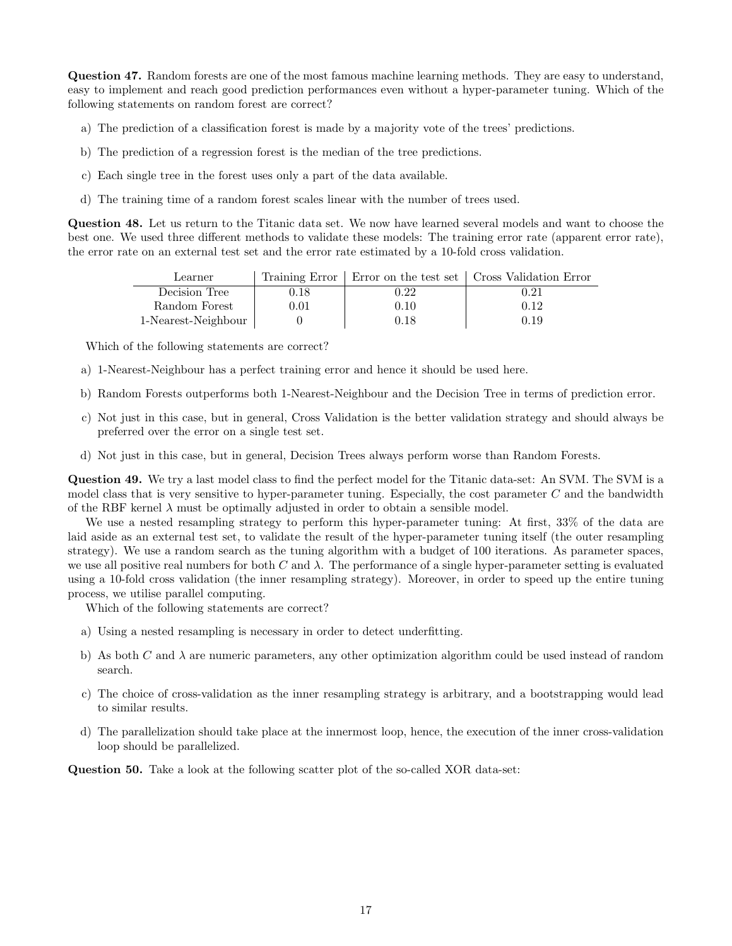Question 47. Random forests are one of the most famous machine learning methods. They are easy to understand, easy to implement and reach good prediction performances even without a hyper-parameter tuning. Which of the following statements on random forest are correct?

- a) The prediction of a classification forest is made by a majority vote of the trees' predictions.
- b) The prediction of a regression forest is the median of the tree predictions.
- c) Each single tree in the forest uses only a part of the data available.
- d) The training time of a random forest scales linear with the number of trees used.

Question 48. Let us return to the Titanic data set. We now have learned several models and want to choose the best one. We used three different methods to validate these models: The training error rate (apparent error rate), the error rate on an external test set and the error rate estimated by a 10-fold cross validation.

| Learner             |          |      | Training Error   Error on the test set   Cross Validation Error |
|---------------------|----------|------|-----------------------------------------------------------------|
| Decision Tree       | $0.18\,$ | 0.22 | 0.21                                                            |
| Random Forest       | $0.01\,$ | 0.10 | 0.12                                                            |
| 1-Nearest-Neighbour |          | 0.18 | 0.19                                                            |

Which of the following statements are correct?

- a) 1-Nearest-Neighbour has a perfect training error and hence it should be used here.
- b) Random Forests outperforms both 1-Nearest-Neighbour and the Decision Tree in terms of prediction error.
- c) Not just in this case, but in general, Cross Validation is the better validation strategy and should always be preferred over the error on a single test set.
- d) Not just in this case, but in general, Decision Trees always perform worse than Random Forests.

Question 49. We try a last model class to find the perfect model for the Titanic data-set: An SVM. The SVM is a model class that is very sensitive to hyper-parameter tuning. Especially, the cost parameter  $C$  and the bandwidth of the RBF kernel  $\lambda$  must be optimally adjusted in order to obtain a sensible model.

We use a nested resampling strategy to perform this hyper-parameter tuning: At first, 33% of the data are laid aside as an external test set, to validate the result of the hyper-parameter tuning itself (the outer resampling strategy). We use a random search as the tuning algorithm with a budget of 100 iterations. As parameter spaces, we use all positive real numbers for both C and  $\lambda$ . The performance of a single hyper-parameter setting is evaluated using a 10-fold cross validation (the inner resampling strategy). Moreover, in order to speed up the entire tuning process, we utilise parallel computing.

Which of the following statements are correct?

- a) Using a nested resampling is necessary in order to detect underfitting.
- b) As both C and  $\lambda$  are numeric parameters, any other optimization algorithm could be used instead of random search.
- c) The choice of cross-validation as the inner resampling strategy is arbitrary, and a bootstrapping would lead to similar results.
- d) The parallelization should take place at the innermost loop, hence, the execution of the inner cross-validation loop should be parallelized.

Question 50. Take a look at the following scatter plot of the so-called XOR data-set: